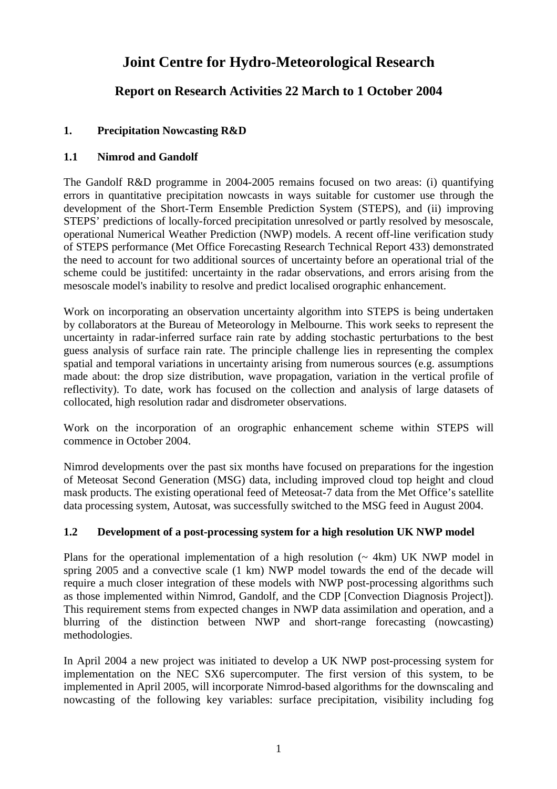# **Joint Centre for Hydro-Meteorological Research**

## **Report on Research Activities 22 March to 1 October 2004**

## **1. Precipitation Nowcasting R&D**

## **1.1 Nimrod and Gandolf**

The Gandolf R&D programme in 2004-2005 remains focused on two areas: (i) quantifying errors in quantitative precipitation nowcasts in ways suitable for customer use through the development of the Short-Term Ensemble Prediction System (STEPS), and (ii) improving STEPS' predictions of locally-forced precipitation unresolved or partly resolved by mesoscale, operational Numerical Weather Prediction (NWP) models. A recent off-line verification study of STEPS performance (Met Office Forecasting Research Technical Report 433) demonstrated the need to account for two additional sources of uncertainty before an operational trial of the scheme could be justitifed: uncertainty in the radar observations, and errors arising from the mesoscale model's inability to resolve and predict localised orographic enhancement.

Work on incorporating an observation uncertainty algorithm into STEPS is being undertaken by collaborators at the Bureau of Meteorology in Melbourne. This work seeks to represent the uncertainty in radar-inferred surface rain rate by adding stochastic perturbations to the best guess analysis of surface rain rate. The principle challenge lies in representing the complex spatial and temporal variations in uncertainty arising from numerous sources (e.g. assumptions made about: the drop size distribution, wave propagation, variation in the vertical profile of reflectivity). To date, work has focused on the collection and analysis of large datasets of collocated, high resolution radar and disdrometer observations.

Work on the incorporation of an orographic enhancement scheme within STEPS will commence in October 2004.

Nimrod developments over the past six months have focused on preparations for the ingestion of Meteosat Second Generation (MSG) data, including improved cloud top height and cloud mask products. The existing operational feed of Meteosat-7 data from the Met Office's satellite data processing system, Autosat, was successfully switched to the MSG feed in August 2004.

## **1.2 Development of a post-processing system for a high resolution UK NWP model**

Plans for the operational implementation of a high resolution  $($   $\sim$  4km) UK NWP model in spring 2005 and a convective scale (1 km) NWP model towards the end of the decade will require a much closer integration of these models with NWP post-processing algorithms such as those implemented within Nimrod, Gandolf, and the CDP [Convection Diagnosis Project]). This requirement stems from expected changes in NWP data assimilation and operation, and a blurring of the distinction between NWP and short-range forecasting (nowcasting) methodologies.

In April 2004 a new project was initiated to develop a UK NWP post-processing system for implementation on the NEC SX6 supercomputer. The first version of this system, to be implemented in April 2005, will incorporate Nimrod-based algorithms for the downscaling and nowcasting of the following key variables: surface precipitation, visibility including fog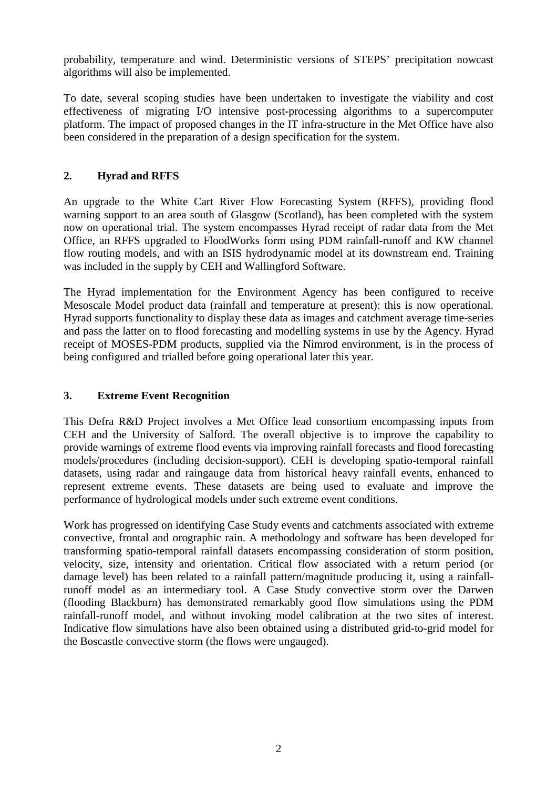probability, temperature and wind. Deterministic versions of STEPS' precipitation nowcast algorithms will also be implemented.

To date, several scoping studies have been undertaken to investigate the viability and cost effectiveness of migrating I/O intensive post-processing algorithms to a supercomputer platform. The impact of proposed changes in the IT infra-structure in the Met Office have also been considered in the preparation of a design specification for the system.

## **2. Hyrad and RFFS**

An upgrade to the White Cart River Flow Forecasting System (RFFS), providing flood warning support to an area south of Glasgow (Scotland), has been completed with the system now on operational trial. The system encompasses Hyrad receipt of radar data from the Met Office, an RFFS upgraded to FloodWorks form using PDM rainfall-runoff and KW channel flow routing models, and with an ISIS hydrodynamic model at its downstream end. Training was included in the supply by CEH and Wallingford Software.

The Hyrad implementation for the Environment Agency has been configured to receive Mesoscale Model product data (rainfall and temperature at present): this is now operational. Hyrad supports functionality to display these data as images and catchment average time-series and pass the latter on to flood forecasting and modelling systems in use by the Agency. Hyrad receipt of MOSES-PDM products, supplied via the Nimrod environment, is in the process of being configured and trialled before going operational later this year.

#### **3. Extreme Event Recognition**

This Defra R&D Project involves a Met Office lead consortium encompassing inputs from CEH and the University of Salford. The overall objective is to improve the capability to provide warnings of extreme flood events via improving rainfall forecasts and flood forecasting models/procedures (including decision-support). CEH is developing spatio-temporal rainfall datasets, using radar and raingauge data from historical heavy rainfall events, enhanced to represent extreme events. These datasets are being used to evaluate and improve the performance of hydrological models under such extreme event conditions.

Work has progressed on identifying Case Study events and catchments associated with extreme convective, frontal and orographic rain. A methodology and software has been developed for transforming spatio-temporal rainfall datasets encompassing consideration of storm position, velocity, size, intensity and orientation. Critical flow associated with a return period (or damage level) has been related to a rainfall pattern/magnitude producing it, using a rainfallrunoff model as an intermediary tool. A Case Study convective storm over the Darwen (flooding Blackburn) has demonstrated remarkably good flow simulations using the PDM rainfall-runoff model, and without invoking model calibration at the two sites of interest. Indicative flow simulations have also been obtained using a distributed grid-to-grid model for the Boscastle convective storm (the flows were ungauged).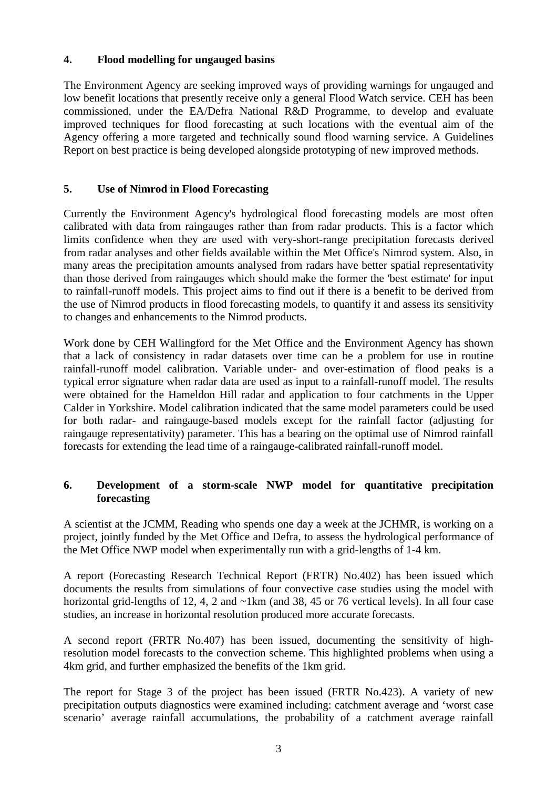#### **4. Flood modelling for ungauged basins**

The Environment Agency are seeking improved ways of providing warnings for ungauged and low benefit locations that presently receive only a general Flood Watch service. CEH has been commissioned, under the EA/Defra National R&D Programme, to develop and evaluate improved techniques for flood forecasting at such locations with the eventual aim of the Agency offering a more targeted and technically sound flood warning service. A Guidelines Report on best practice is being developed alongside prototyping of new improved methods.

## **5. Use of Nimrod in Flood Forecasting**

Currently the Environment Agency's hydrological flood forecasting models are most often calibrated with data from raingauges rather than from radar products. This is a factor which limits confidence when they are used with very-short-range precipitation forecasts derived from radar analyses and other fields available within the Met Office's Nimrod system. Also, in many areas the precipitation amounts analysed from radars have better spatial representativity than those derived from raingauges which should make the former the 'best estimate' for input to rainfall-runoff models. This project aims to find out if there is a benefit to be derived from the use of Nimrod products in flood forecasting models, to quantify it and assess its sensitivity to changes and enhancements to the Nimrod products.

Work done by CEH Wallingford for the Met Office and the Environment Agency has shown that a lack of consistency in radar datasets over time can be a problem for use in routine rainfall-runoff model calibration. Variable under- and over-estimation of flood peaks is a typical error signature when radar data are used as input to a rainfall-runoff model. The results were obtained for the Hameldon Hill radar and application to four catchments in the Upper Calder in Yorkshire. Model calibration indicated that the same model parameters could be used for both radar- and raingauge-based models except for the rainfall factor (adjusting for raingauge representativity) parameter. This has a bearing on the optimal use of Nimrod rainfall forecasts for extending the lead time of a raingauge-calibrated rainfall-runoff model.

## **6. Development of a storm-scale NWP model for quantitative precipitation forecasting**

A scientist at the JCMM, Reading who spends one day a week at the JCHMR, is working on a project, jointly funded by the Met Office and Defra, to assess the hydrological performance of the Met Office NWP model when experimentally run with a grid-lengths of 1-4 km.

A report (Forecasting Research Technical Report (FRTR) No.402) has been issued which documents the results from simulations of four convective case studies using the model with horizontal grid-lengths of 12, 4, 2 and ~1km (and 38, 45 or 76 vertical levels). In all four case studies, an increase in horizontal resolution produced more accurate forecasts.

A second report (FRTR No.407) has been issued, documenting the sensitivity of highresolution model forecasts to the convection scheme. This highlighted problems when using a 4km grid, and further emphasized the benefits of the 1km grid.

The report for Stage 3 of the project has been issued (FRTR No.423). A variety of new precipitation outputs diagnostics were examined including: catchment average and 'worst case scenario' average rainfall accumulations, the probability of a catchment average rainfall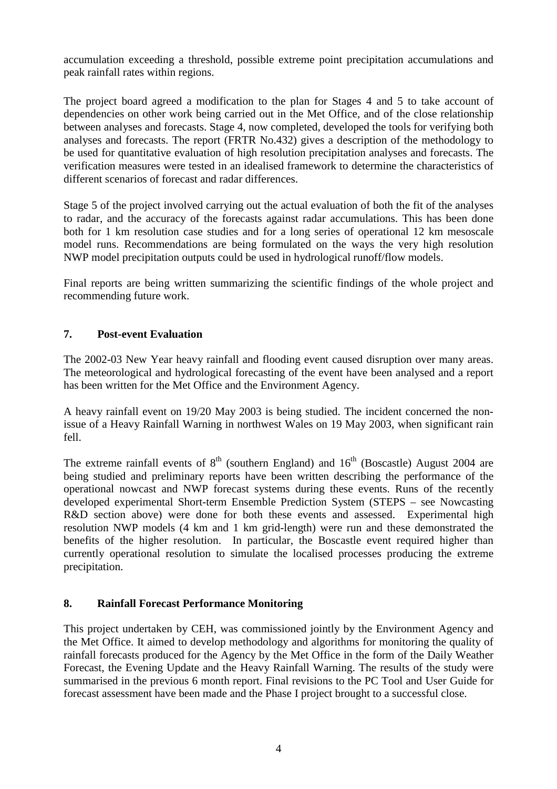accumulation exceeding a threshold, possible extreme point precipitation accumulations and peak rainfall rates within regions.

The project board agreed a modification to the plan for Stages 4 and 5 to take account of dependencies on other work being carried out in the Met Office, and of the close relationship between analyses and forecasts. Stage 4, now completed, developed the tools for verifying both analyses and forecasts. The report (FRTR No.432) gives a description of the methodology to be used for quantitative evaluation of high resolution precipitation analyses and forecasts. The verification measures were tested in an idealised framework to determine the characteristics of different scenarios of forecast and radar differences.

Stage 5 of the project involved carrying out the actual evaluation of both the fit of the analyses to radar, and the accuracy of the forecasts against radar accumulations. This has been done both for 1 km resolution case studies and for a long series of operational 12 km mesoscale model runs. Recommendations are being formulated on the ways the very high resolution NWP model precipitation outputs could be used in hydrological runoff/flow models.

Final reports are being written summarizing the scientific findings of the whole project and recommending future work.

## **7. Post-event Evaluation**

The 2002-03 New Year heavy rainfall and flooding event caused disruption over many areas. The meteorological and hydrological forecasting of the event have been analysed and a report has been written for the Met Office and the Environment Agency.

A heavy rainfall event on 19/20 May 2003 is being studied. The incident concerned the nonissue of a Heavy Rainfall Warning in northwest Wales on 19 May 2003, when significant rain fell.

The extreme rainfall events of  $8<sup>th</sup>$  (southern England) and  $16<sup>th</sup>$  (Boscastle) August 2004 are being studied and preliminary reports have been written describing the performance of the operational nowcast and NWP forecast systems during these events. Runs of the recently developed experimental Short-term Ensemble Prediction System (STEPS – see Nowcasting R&D section above) were done for both these events and assessed. Experimental high resolution NWP models (4 km and 1 km grid-length) were run and these demonstrated the benefits of the higher resolution. In particular, the Boscastle event required higher than currently operational resolution to simulate the localised processes producing the extreme precipitation.

## **8. Rainfall Forecast Performance Monitoring**

This project undertaken by CEH, was commissioned jointly by the Environment Agency and the Met Office. It aimed to develop methodology and algorithms for monitoring the quality of rainfall forecasts produced for the Agency by the Met Office in the form of the Daily Weather Forecast, the Evening Update and the Heavy Rainfall Warning. The results of the study were summarised in the previous 6 month report. Final revisions to the PC Tool and User Guide for forecast assessment have been made and the Phase I project brought to a successful close.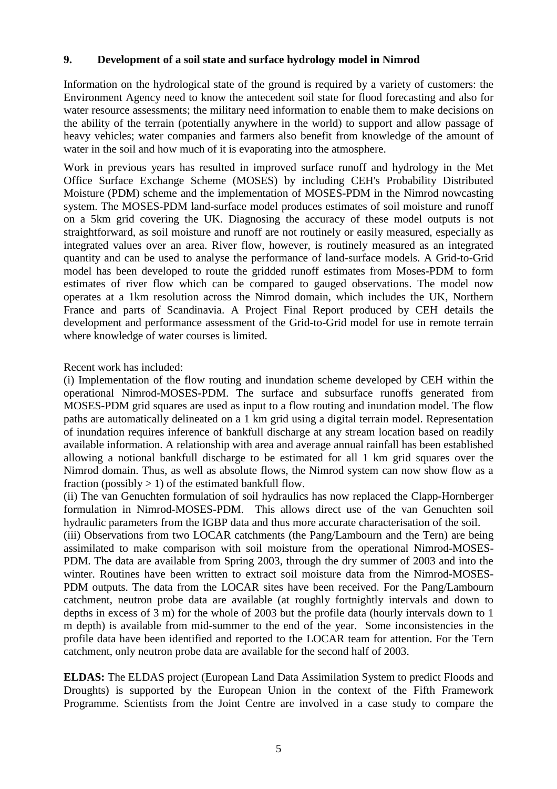#### **9. Development of a soil state and surface hydrology model in Nimrod**

Information on the hydrological state of the ground is required by a variety of customers: the Environment Agency need to know the antecedent soil state for flood forecasting and also for water resource assessments; the military need information to enable them to make decisions on the ability of the terrain (potentially anywhere in the world) to support and allow passage of heavy vehicles; water companies and farmers also benefit from knowledge of the amount of water in the soil and how much of it is evaporating into the atmosphere.

Work in previous years has resulted in improved surface runoff and hydrology in the Met Office Surface Exchange Scheme (MOSES) by including CEH's Probability Distributed Moisture (PDM) scheme and the implementation of MOSES-PDM in the Nimrod nowcasting system. The MOSES-PDM land-surface model produces estimates of soil moisture and runoff on a 5km grid covering the UK. Diagnosing the accuracy of these model outputs is not straightforward, as soil moisture and runoff are not routinely or easily measured, especially as integrated values over an area. River flow, however, is routinely measured as an integrated quantity and can be used to analyse the performance of land-surface models. A Grid-to-Grid model has been developed to route the gridded runoff estimates from Moses-PDM to form estimates of river flow which can be compared to gauged observations. The model now operates at a 1km resolution across the Nimrod domain, which includes the UK, Northern France and parts of Scandinavia. A Project Final Report produced by CEH details the development and performance assessment of the Grid-to-Grid model for use in remote terrain where knowledge of water courses is limited.

#### Recent work has included:

(i) Implementation of the flow routing and inundation scheme developed by CEH within the operational Nimrod-MOSES-PDM. The surface and subsurface runoffs generated from MOSES-PDM grid squares are used as input to a flow routing and inundation model. The flow paths are automatically delineated on a 1 km grid using a digital terrain model. Representation of inundation requires inference of bankfull discharge at any stream location based on readily available information. A relationship with area and average annual rainfall has been established allowing a notional bankfull discharge to be estimated for all 1 km grid squares over the Nimrod domain. Thus, as well as absolute flows, the Nimrod system can now show flow as a fraction (possibly  $> 1$ ) of the estimated bankfull flow.

(ii) The van Genuchten formulation of soil hydraulics has now replaced the Clapp-Hornberger formulation in Nimrod-MOSES-PDM. This allows direct use of the van Genuchten soil hydraulic parameters from the IGBP data and thus more accurate characterisation of the soil.

(iii) Observations from two LOCAR catchments (the Pang/Lambourn and the Tern) are being assimilated to make comparison with soil moisture from the operational Nimrod-MOSES-PDM. The data are available from Spring 2003, through the dry summer of 2003 and into the winter. Routines have been written to extract soil moisture data from the Nimrod-MOSES-PDM outputs. The data from the LOCAR sites have been received. For the Pang/Lambourn catchment, neutron probe data are available (at roughly fortnightly intervals and down to depths in excess of 3 m) for the whole of 2003 but the profile data (hourly intervals down to 1 m depth) is available from mid-summer to the end of the year. Some inconsistencies in the profile data have been identified and reported to the LOCAR team for attention. For the Tern catchment, only neutron probe data are available for the second half of 2003.

**ELDAS:** The ELDAS project (European Land Data Assimilation System to predict Floods and Droughts) is supported by the European Union in the context of the Fifth Framework Programme. Scientists from the Joint Centre are involved in a case study to compare the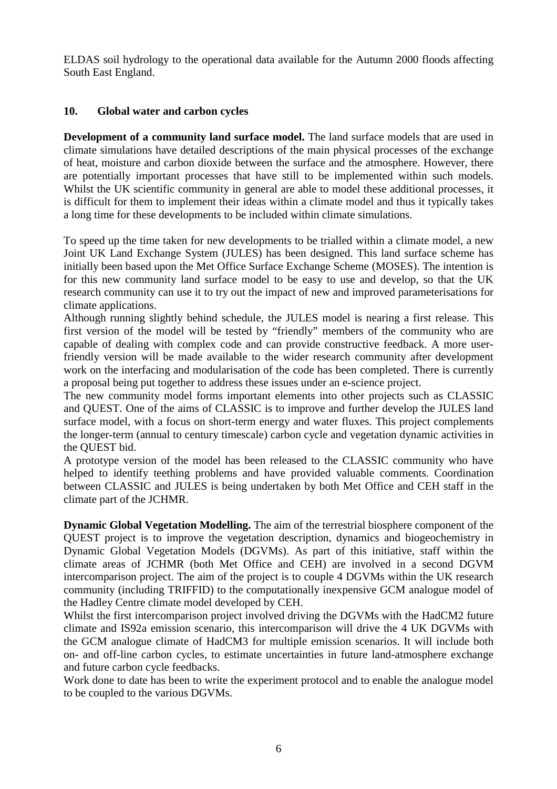ELDAS soil hydrology to the operational data available for the Autumn 2000 floods affecting South East England.

#### **10. Global water and carbon cycles**

**Development of a community land surface model.** The land surface models that are used in climate simulations have detailed descriptions of the main physical processes of the exchange of heat, moisture and carbon dioxide between the surface and the atmosphere. However, there are potentially important processes that have still to be implemented within such models. Whilst the UK scientific community in general are able to model these additional processes, it is difficult for them to implement their ideas within a climate model and thus it typically takes a long time for these developments to be included within climate simulations.

To speed up the time taken for new developments to be trialled within a climate model, a new Joint UK Land Exchange System (JULES) has been designed. This land surface scheme has initially been based upon the Met Office Surface Exchange Scheme (MOSES). The intention is for this new community land surface model to be easy to use and develop, so that the UK research community can use it to try out the impact of new and improved parameterisations for climate applications.

Although running slightly behind schedule, the JULES model is nearing a first release. This first version of the model will be tested by "friendly" members of the community who are capable of dealing with complex code and can provide constructive feedback. A more userfriendly version will be made available to the wider research community after development work on the interfacing and modularisation of the code has been completed. There is currently a proposal being put together to address these issues under an e-science project.

The new community model forms important elements into other projects such as CLASSIC and QUEST. One of the aims of CLASSIC is to improve and further develop the JULES land surface model, with a focus on short-term energy and water fluxes. This project complements the longer-term (annual to century timescale) carbon cycle and vegetation dynamic activities in the QUEST bid.

A prototype version of the model has been released to the CLASSIC community who have helped to identify teething problems and have provided valuable comments. Coordination between CLASSIC and JULES is being undertaken by both Met Office and CEH staff in the climate part of the JCHMR.

**Dynamic Global Vegetation Modelling.** The aim of the terrestrial biosphere component of the QUEST project is to improve the vegetation description, dynamics and biogeochemistry in Dynamic Global Vegetation Models (DGVMs). As part of this initiative, staff within the climate areas of JCHMR (both Met Office and CEH) are involved in a second DGVM intercomparison project. The aim of the project is to couple 4 DGVMs within the UK research community (including TRIFFID) to the computationally inexpensive GCM analogue model of the Hadley Centre climate model developed by CEH.

Whilst the first intercomparison project involved driving the DGVMs with the HadCM2 future climate and IS92a emission scenario, this intercomparison will drive the 4 UK DGVMs with the GCM analogue climate of HadCM3 for multiple emission scenarios. It will include both on- and off-line carbon cycles, to estimate uncertainties in future land-atmosphere exchange and future carbon cycle feedbacks.

Work done to date has been to write the experiment protocol and to enable the analogue model to be coupled to the various DGVMs.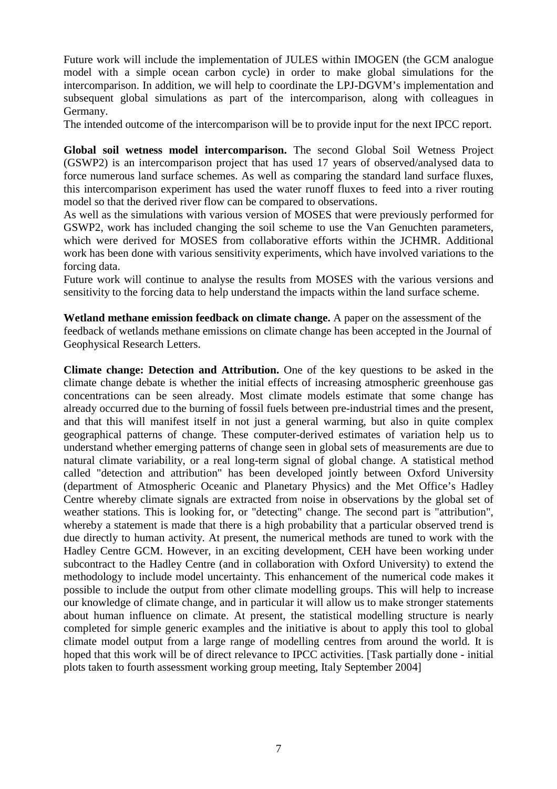Future work will include the implementation of JULES within IMOGEN (the GCM analogue model with a simple ocean carbon cycle) in order to make global simulations for the intercomparison. In addition, we will help to coordinate the LPJ-DGVM's implementation and subsequent global simulations as part of the intercomparison, along with colleagues in Germany.

The intended outcome of the intercomparison will be to provide input for the next IPCC report.

**Global soil wetness model intercomparison.** The second Global Soil Wetness Project (GSWP2) is an intercomparison project that has used 17 years of observed/analysed data to force numerous land surface schemes. As well as comparing the standard land surface fluxes, this intercomparison experiment has used the water runoff fluxes to feed into a river routing model so that the derived river flow can be compared to observations.

As well as the simulations with various version of MOSES that were previously performed for GSWP2, work has included changing the soil scheme to use the Van Genuchten parameters, which were derived for MOSES from collaborative efforts within the JCHMR. Additional work has been done with various sensitivity experiments, which have involved variations to the forcing data.

Future work will continue to analyse the results from MOSES with the various versions and sensitivity to the forcing data to help understand the impacts within the land surface scheme.

**Wetland methane emission feedback on climate change.** A paper on the assessment of the feedback of wetlands methane emissions on climate change has been accepted in the Journal of Geophysical Research Letters.

**Climate change: Detection and Attribution.** One of the key questions to be asked in the climate change debate is whether the initial effects of increasing atmospheric greenhouse gas concentrations can be seen already. Most climate models estimate that some change has already occurred due to the burning of fossil fuels between pre-industrial times and the present, and that this will manifest itself in not just a general warming, but also in quite complex geographical patterns of change. These computer-derived estimates of variation help us to understand whether emerging patterns of change seen in global sets of measurements are due to natural climate variability, or a real long-term signal of global change. A statistical method called "detection and attribution" has been developed jointly between Oxford University (department of Atmospheric Oceanic and Planetary Physics) and the Met Office's Hadley Centre whereby climate signals are extracted from noise in observations by the global set of weather stations. This is looking for, or "detecting" change. The second part is "attribution", whereby a statement is made that there is a high probability that a particular observed trend is due directly to human activity. At present, the numerical methods are tuned to work with the Hadley Centre GCM. However, in an exciting development, CEH have been working under subcontract to the Hadley Centre (and in collaboration with Oxford University) to extend the methodology to include model uncertainty. This enhancement of the numerical code makes it possible to include the output from other climate modelling groups. This will help to increase our knowledge of climate change, and in particular it will allow us to make stronger statements about human influence on climate. At present, the statistical modelling structure is nearly completed for simple generic examples and the initiative is about to apply this tool to global climate model output from a large range of modelling centres from around the world. It is hoped that this work will be of direct relevance to IPCC activities. [Task partially done - initial plots taken to fourth assessment working group meeting, Italy September 2004]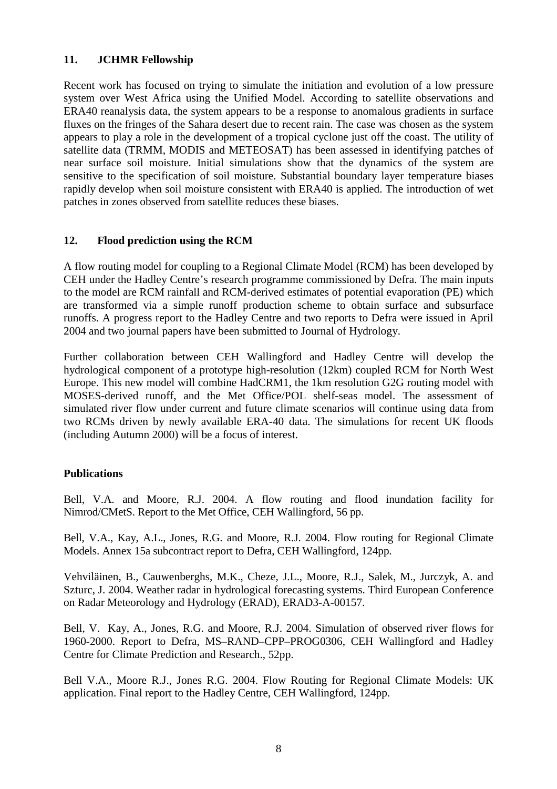#### **11. JCHMR Fellowship**

Recent work has focused on trying to simulate the initiation and evolution of a low pressure system over West Africa using the Unified Model. According to satellite observations and ERA40 reanalysis data, the system appears to be a response to anomalous gradients in surface fluxes on the fringes of the Sahara desert due to recent rain. The case was chosen as the system appears to play a role in the development of a tropical cyclone just off the coast. The utility of satellite data (TRMM, MODIS and METEOSAT) has been assessed in identifying patches of near surface soil moisture. Initial simulations show that the dynamics of the system are sensitive to the specification of soil moisture. Substantial boundary layer temperature biases rapidly develop when soil moisture consistent with ERA40 is applied. The introduction of wet patches in zones observed from satellite reduces these biases.

## **12. Flood prediction using the RCM**

A flow routing model for coupling to a Regional Climate Model (RCM) has been developed by CEH under the Hadley Centre's research programme commissioned by Defra. The main inputs to the model are RCM rainfall and RCM-derived estimates of potential evaporation (PE) which are transformed via a simple runoff production scheme to obtain surface and subsurface runoffs. A progress report to the Hadley Centre and two reports to Defra were issued in April 2004 and two journal papers have been submitted to Journal of Hydrology.

Further collaboration between CEH Wallingford and Hadley Centre will develop the hydrological component of a prototype high-resolution (12km) coupled RCM for North West Europe. This new model will combine HadCRM1, the 1km resolution G2G routing model with MOSES-derived runoff, and the Met Office/POL shelf-seas model. The assessment of simulated river flow under current and future climate scenarios will continue using data from two RCMs driven by newly available ERA-40 data. The simulations for recent UK floods (including Autumn 2000) will be a focus of interest.

#### **Publications**

Bell, V.A. and Moore, R.J. 2004. A flow routing and flood inundation facility for Nimrod/CMetS. Report to the Met Office, CEH Wallingford, 56 pp.

Bell, V.A., Kay, A.L., Jones, R.G. and Moore, R.J. 2004. Flow routing for Regional Climate Models. Annex 15a subcontract report to Defra, CEH Wallingford, 124pp.

Vehviläinen, B., Cauwenberghs, M.K., Cheze, J.L., Moore, R.J., Salek, M., Jurczyk, A. and Szturc, J. 2004. Weather radar in hydrological forecasting systems. Third European Conference on Radar Meteorology and Hydrology (ERAD), ERAD3-A-00157.

Bell, V. Kay, A., Jones, R.G. and Moore, R.J. 2004. Simulation of observed river flows for 1960-2000. Report to Defra, MS–RAND–CPP–PROG0306, CEH Wallingford and Hadley Centre for Climate Prediction and Research., 52pp.

Bell V.A., Moore R.J., Jones R.G. 2004. Flow Routing for Regional Climate Models: UK application. Final report to the Hadley Centre, CEH Wallingford, 124pp.